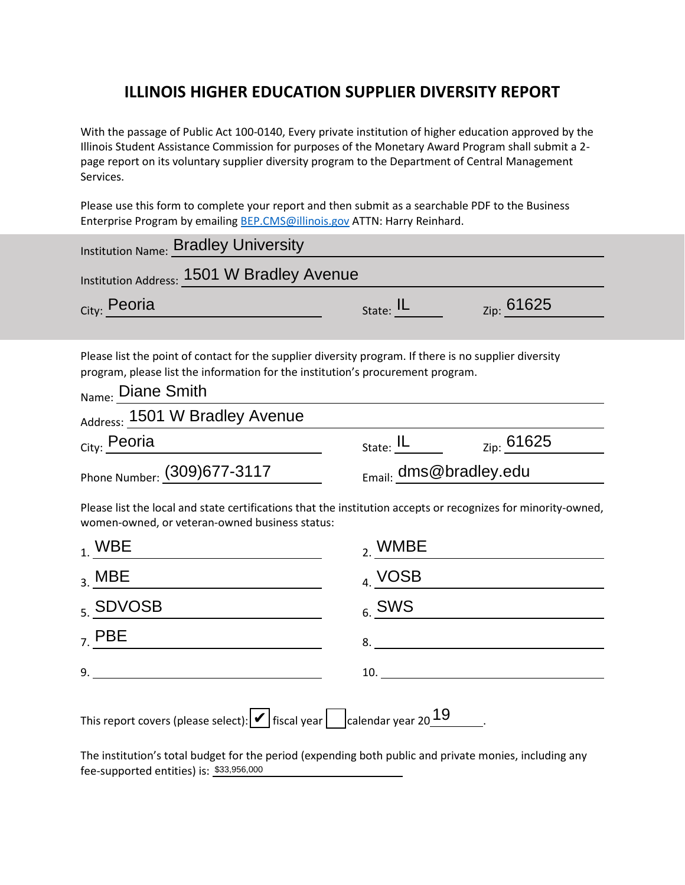## **ILLINOIS HIGHER EDUCATION SUPPLIER DIVERSITY REPORT**

With the passage of Public Act 100-0140, Every private institution of higher education approved by the Illinois Student Assistance Commission for purposes of the Monetary Award Program shall submit a 2 page report on its voluntary supplier diversity program to the Department of Central Management Services.

Please use this form to complete your report and then submit as a searchable PDF to the Business Enterprise Program by emailing [BEP.CMS@illinois.gov](mailto:BEP.CMS@illinois.gov) ATTN: Harry Reinhard.

| Institution Name: Bradley University                                                                                                                                                                           |                                  |                     |  |
|----------------------------------------------------------------------------------------------------------------------------------------------------------------------------------------------------------------|----------------------------------|---------------------|--|
| Institution Address: 1501 W Bradley Avenue                                                                                                                                                                     |                                  |                     |  |
| City: Peoria                                                                                                                                                                                                   | State: $IL$                      | Zip: 61625          |  |
| Please list the point of contact for the supplier diversity program. If there is no supplier diversity<br>program, please list the information for the institution's procurement program.<br>Name: Diane Smith |                                  |                     |  |
| Address: 1501 W Bradley Avenue                                                                                                                                                                                 |                                  |                     |  |
| City: Peoria                                                                                                                                                                                                   | State: $\underline{\mathsf{IL}}$ | $_{\rm Zip:} 61625$ |  |
| Phone Number: (309) 677-3117                                                                                                                                                                                   | Email: dms@bradley.edu           |                     |  |
| Please list the local and state certifications that the institution accepts or recognizes for minority-owned,<br>women-owned, or veteran-owned business status:                                                |                                  |                     |  |
| $1$ . WBE                                                                                                                                                                                                      | $_{2.}$ WMBE                     |                     |  |
| $_3.$ MBE                                                                                                                                                                                                      | 4. VOSB                          |                     |  |
| <sub>5.</sub> SDVOSB                                                                                                                                                                                           | $_6$ . SWS                       |                     |  |
| $7.$ PBE                                                                                                                                                                                                       |                                  |                     |  |
| 9.                                                                                                                                                                                                             | $10. \underline{\hspace{2cm}}$   |                     |  |
| This report covers (please select): $\blacktriangleright$ fiscal year calendar year 20 $19$                                                                                                                    |                                  |                     |  |
| The institution's total budget for the period (expending both public and private monies, including any<br>$f$ ee-sunnorted entities) is: \$33,956,000                                                          |                                  |                     |  |

The institution's total budget for the period (expending both public and private monies, including any fee-supported entities) is: